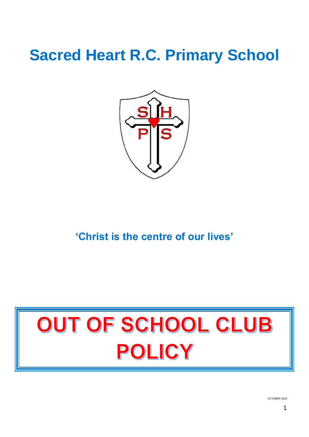## **Sacred Heart R.C. Primary School**



**'Christ is the centre of our lives'**

# OUT OF SCHOOL CLUB POLICY

OCTOBER 2019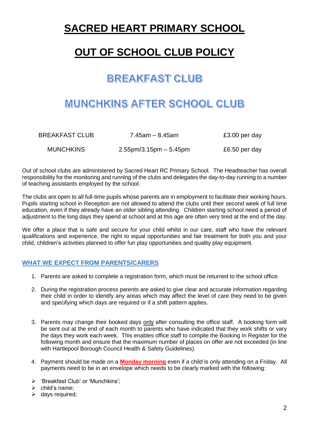## **SACRED HEART PRIMARY SCHOOL**

## **OUT OF SCHOOL CLUB POLICY**

## **BREAKFAST CLUB**

### MUNCHKINS AFTER SCHOOL CLUB

| BREAKFAST CLUB   | 7.45am – 8.45am             | £3.00 per day |
|------------------|-----------------------------|---------------|
| <b>MUNCHKINS</b> | $2.55$ pm/3.15pm $-5.45$ pm | £6.50 per day |

Out of school clubs are administered by Sacred Heart RC Primary School. The Headteacher has overall responsibility for the monitoring and running of the clubs and delegates the day-to-day running to a number of teaching assistants employed by the school.

The clubs are open to all full-time pupils whose parents are in employment to facilitate their working hours. Pupils starting school in Reception are not allowed to attend the clubs until their second week of full time education, even if they already have an older sibling attending. Children starting school need a period of adjustment to the long days they spend at school and at this age are often very tired at the end of the day.

We offer a place that is safe and secure for your child whilst in our care, staff who have the relevant qualifications and experience, the right to equal opportunities and fair treatment for both you and your child, children's activities planned to offer fun play opportunities and quality play equipment.

#### **WHAT WE EXPECT FROM PARENTS/CARERS**

- 1. Parents are asked to complete a registration form, which must be returned to the school office.
- 2. During the registration process parents are asked to give clear and accurate information regarding their child in order to identify any areas which may affect the level of care they need to be given and specifying which days are required or if a shift pattern applies.
- 3. Parents may change their booked days only after consulting the office staff. A booking form will be sent out at the end of each month to parents who have indicated that they work shifts or vary the days they work each week. This enables office staff to compile the Booking In Register for the following month and ensure that the maximum number of places on offer are not exceeded (in line with Hartlepool Borough Council Health & Safety Guidelines).
- 4. Payment should be made on a **Monday morning** even if a child is only attending on a Friday. All payments need to be in an envelope which needs to be clearly marked with the following:
- 'Breakfast Club' or 'Munchkins';
- $\triangleright$  child's name:
- $\triangleright$  days required;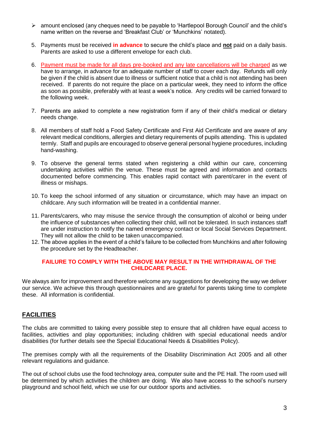- amount enclosed (any cheques need to be payable to 'Hartlepool Borough Council' and the child's name written on the reverse and 'Breakfast Club' or 'Munchkins' notated).
- 5. Payments must be received **in advance** to secure the child's place and **not** paid on a daily basis. Parents are asked to use a different envelope for each club.
- 6. Payment must be made for all days pre-booked and any late cancellations will be charged as we have to arrange. in advance for an adequate number of staff to cover each day. Refunds will only be given if the child is absent due to illness or sufficient notice that a child is not attending has been received. If parents do not require the place on a particular week, they need to inform the office as soon as possible, preferably with at least a week's notice. Any credits will be carried forward to the following week.
- 7. Parents are asked to complete a new registration form if any of their child's medical or dietary needs change.
- 8. All members of staff hold a Food Safety Certificate and First Aid Certificate and are aware of any relevant medical conditions, allergies and dietary requirements of pupils attending. This is updated termly. Staff and pupils are encouraged to observe general personal hygiene procedures, including hand-washing.
- 9. To observe the general terms stated when registering a child within our care, concerning undertaking activities within the venue. These must be agreed and information and contacts documented before commencing. This enables rapid contact with parent/carer in the event of illness or mishaps.
- 10. To keep the school informed of any situation or circumstance, which may have an impact on childcare. Any such information will be treated in a confidential manner.
- 11. Parents/carers, who may misuse the service through the consumption of alcohol or being under the influence of substances when collecting their child, will not be tolerated. In such instances staff are under instruction to notify the named emergency contact or local Social Services Department. They will not allow the child to be taken unaccompanied.
- 12. The above applies in the event of a child's failure to be collected from Munchkins and after following the procedure set by the Headteacher.

#### **FAILURE TO COMPLY WITH THE ABOVE MAY RESULT IN THE WITHDRAWAL OF THE CHILDCARE PLACE.**

We always aim for improvement and therefore welcome any suggestions for developing the way we deliver our service. We achieve this through questionnaires and are grateful for parents taking time to complete these. All information is confidential.

#### **FACILITIES**

The clubs are committed to taking every possible step to ensure that all children have equal access to facilities, activities and play opportunities; including children with special educational needs and/or disabilities (for further details see the Special Educational Needs & Disabilities Policy).

The premises comply with all the requirements of the Disability Discrimination Act 2005 and all other relevant regulations and guidance.

The out of school clubs use the food technology area, computer suite and the PE Hall. The room used will be determined by which activities the children are doing. We also have access to the school's nursery playground and school field, which we use for our outdoor sports and activities.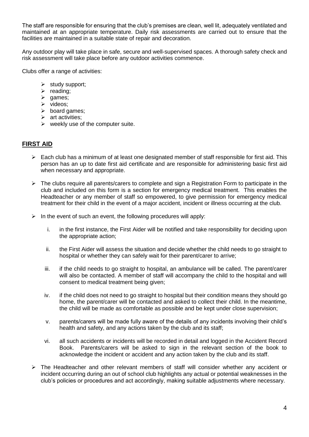The staff are responsible for ensuring that the club's premises are clean, well lit, adequately ventilated and maintained at an appropriate temperature. Daily risk assessments are carried out to ensure that the facilities are maintained in a suitable state of repair and decoration.

Any outdoor play will take place in safe, secure and well-supervised spaces. A thorough safety check and risk assessment will take place before any outdoor activities commence.

Clubs offer a range of activities:

- $\triangleright$  study support;
- $\triangleright$  reading;
- $\triangleright$  games;
- $\triangleright$  videos;
- $\triangleright$  board games;
- $\triangleright$  art activities:
- $\triangleright$  weekly use of the computer suite.

#### **FIRST AID**

- $\triangleright$  Each club has a minimum of at least one designated member of staff responsible for first aid. This person has an up to date first aid certificate and are responsible for administering basic first aid when necessary and appropriate.
- > The clubs require all parents/carers to complete and sign a Registration Form to participate in the club and included on this form is a section for emergency medical treatment. This enables the Headteacher or any member of staff so empowered, to give permission for emergency medical treatment for their child in the event of a major accident, incident or illness occurring at the club.
- $\triangleright$  In the event of such an event, the following procedures will apply:
	- i. in the first instance, the First Aider will be notified and take responsibility for deciding upon the appropriate action;
	- ii. the First Aider will assess the situation and decide whether the child needs to go straight to hospital or whether they can safely wait for their parent/carer to arrive;
	- iii. if the child needs to go straight to hospital, an ambulance will be called. The parent/carer will also be contacted. A member of staff will accompany the child to the hospital and will consent to medical treatment being given;
	- iv. if the child does not need to go straight to hospital but their condition means they should go home, the parent/carer will be contacted and asked to collect their child. In the meantime, the child will be made as comfortable as possible and be kept under close supervision;
	- v. parents/carers will be made fully aware of the details of any incidents involving their child's health and safety, and any actions taken by the club and its staff;
	- vi. all such accidents or incidents will be recorded in detail and logged in the Accident Record Book. Parents/carers will be asked to sign in the relevant section of the book to acknowledge the incident or accident and any action taken by the club and its staff.
- $\triangleright$  The Headteacher and other relevant members of staff will consider whether any accident or incident occurring during an out of school club highlights any actual or potential weaknesses in the club's policies or procedures and act accordingly, making suitable adjustments where necessary.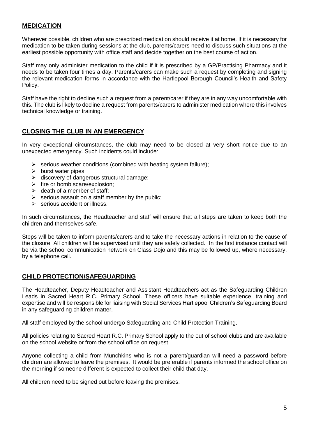#### **MEDICATION**

Wherever possible, children who are prescribed medication should receive it at home. If it is necessary for medication to be taken during sessions at the club, parents/carers need to discuss such situations at the earliest possible opportunity with office staff and decide together on the best course of action.

Staff may only administer medication to the child if it is prescribed by a GP/Practising Pharmacy and it needs to be taken four times a day. Parents/carers can make such a request by completing and signing the relevant medication forms in accordance with the Hartlepool Borough Council's Health and Safety Policy.

Staff have the right to decline such a request from a parent/carer if they are in any way uncomfortable with this. The club is likely to decline a request from parents/carers to administer medication where this involves technical knowledge or training.

#### **CLOSING THE CLUB IN AN EMERGENCY**

In very exceptional circumstances, the club may need to be closed at very short notice due to an unexpected emergency. Such incidents could include:

- $\triangleright$  serious weather conditions (combined with heating system failure);
- $\triangleright$  burst water pipes;
- > discovery of dangerous structural damage:
- $\triangleright$  fire or bomb scare/explosion;
- $\geq$  death of a member of staff:
- $\triangleright$  serious assault on a staff member by the public;
- $\triangleright$  serious accident or illness.

In such circumstances, the Headteacher and staff will ensure that all steps are taken to keep both the children and themselves safe.

Steps will be taken to inform parents/carers and to take the necessary actions in relation to the cause of the closure. All children will be supervised until they are safely collected. In the first instance contact will be via the school communication network on Class Dojo and this may be followed up, where necessary, by a telephone call.

#### **CHILD PROTECTION/SAFEGUARDING**

The Headteacher, Deputy Headteacher and Assistant Headteachers act as the Safeguarding Children Leads in Sacred Heart R.C. Primary School. These officers have suitable experience, training and expertise and will be responsible for liaising with Social Services Hartlepool Children's Safeguarding Board in any safeguarding children matter.

All staff employed by the school undergo Safeguarding and Child Protection Training.

All policies relating to Sacred Heart R.C. Primary School apply to the out of school clubs and are available on the school website or from the school office on request.

Anyone collecting a child from Munchkins who is not a parent/guardian will need a password before children are allowed to leave the premises. It would be preferable if parents informed the school office on the morning if someone different is expected to collect their child that day.

All children need to be signed out before leaving the premises.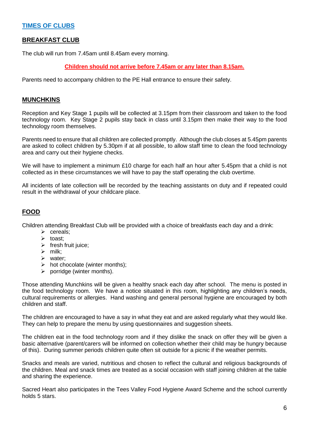#### **TIMES OF CLUBS**

#### **BREAKFAST CLUB**

The club will run from 7.45am until 8.45am every morning.

#### **Children should not arrive before 7.45am or any later than 8.15am.**

Parents need to accompany children to the PE Hall entrance to ensure their safety.

#### **MUNCHKINS**

Reception and Key Stage 1 pupils will be collected at 3.15pm from their classroom and taken to the food technology room. Key Stage 2 pupils stay back in class until 3.15pm then make their way to the food technology room themselves.

Parents need to ensure that all children are collected promptly. Although the club closes at 5.45pm parents are asked to collect children by 5.30pm if at all possible, to allow staff time to clean the food technology area and carry out their hygiene checks.

We will have to implement a minimum £10 charge for each half an hour after 5.45pm that a child is not collected as in these circumstances we will have to pay the staff operating the club overtime.

All incidents of late collection will be recorded by the teaching assistants on duty and if repeated could result in the withdrawal of your childcare place.

#### **FOOD**

Children attending Breakfast Club will be provided with a choice of breakfasts each day and a drink:

- $\triangleright$  cereals;
- $\triangleright$  toast:
- $\triangleright$  fresh fruit juice;
- $\triangleright$  milk;
- $\triangleright$  water:
- $\triangleright$  hot chocolate (winter months);
- $\triangleright$  porridge (winter months).

Those attending Munchkins will be given a healthy snack each day after school. The menu is posted in the food technology room. We have a notice situated in this room, highlighting any children's needs, cultural requirements or allergies. Hand washing and general personal hygiene are encouraged by both children and staff.

The children are encouraged to have a say in what they eat and are asked regularly what they would like. They can help to prepare the menu by using questionnaires and suggestion sheets.

The children eat in the food technology room and if they dislike the snack on offer they will be given a basic alternative (parent/carers will be informed on collection whether their child may be hungry because of this). During summer periods children quite often sit outside for a picnic if the weather permits.

Snacks and meals are varied, nutritious and chosen to reflect the cultural and religious backgrounds of the children. Meal and snack times are treated as a social occasion with staff joining children at the table and sharing the experience.

Sacred Heart also participates in the Tees Valley Food Hygiene Award Scheme and the school currently holds 5 stars.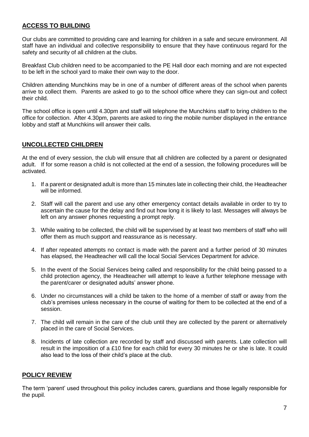#### **ACCESS TO BUILDING**

Our clubs are committed to providing care and learning for children in a safe and secure environment. All staff have an individual and collective responsibility to ensure that they have continuous regard for the safety and security of all children at the clubs.

Breakfast Club children need to be accompanied to the PE Hall door each morning and are not expected to be left in the school yard to make their own way to the door.

Children attending Munchkins may be in one of a number of different areas of the school when parents arrive to collect them. Parents are asked to go to the school office where they can sign-out and collect their child.

The school office is open until 4.30pm and staff will telephone the Munchkins staff to bring children to the office for collection. After 4.30pm, parents are asked to ring the mobile number displayed in the entrance lobby and staff at Munchkins will answer their calls.

#### **UNCOLLECTED CHILDREN**

At the end of every session, the club will ensure that all children are collected by a parent or designated adult. If for some reason a child is not collected at the end of a session, the following procedures will be activated.

- 1. If a parent or designated adult is more than 15 minutes late in collecting their child, the Headteacher will be informed.
- 2. Staff will call the parent and use any other emergency contact details available in order to try to ascertain the cause for the delay and find out how long it is likely to last. Messages will always be left on any answer phones requesting a prompt reply.
- 3. While waiting to be collected, the child will be supervised by at least two members of staff who will offer them as much support and reassurance as is necessary.
- 4. If after repeated attempts no contact is made with the parent and a further period of 30 minutes has elapsed, the Headteacher will call the local Social Services Department for advice.
- 5. In the event of the Social Services being called and responsibility for the child being passed to a child protection agency, the Headteacher will attempt to leave a further telephone message with the parent/carer or designated adults' answer phone.
- 6. Under no circumstances will a child be taken to the home of a member of staff or away from the club's premises unless necessary in the course of waiting for them to be collected at the end of a session.
- 7. The child will remain in the care of the club until they are collected by the parent or alternatively placed in the care of Social Services.
- 8. Incidents of late collection are recorded by staff and discussed with parents. Late collection will result in the imposition of a £10 fine for each child for every 30 minutes he or she is late. It could also lead to the loss of their child's place at the club.

#### **POLICY REVIEW**

The term 'parent' used throughout this policy includes carers, guardians and those legally responsible for the pupil.